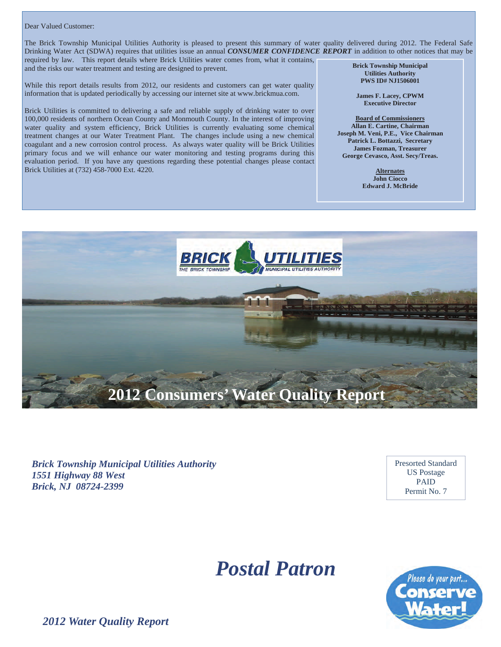#### Dear Valued Customer:

The Brick Township Municipal Utilities Authority is pleased to present this summary of water quality delivered during 2012. The Federal Safe Drinking Water Act (SDWA) requires that utilities issue an annual *CONSUMER CONFIDENCE REPORT* in addition to other notices that may be required by law. This report details where Brick Utilities water comes from, what it contains, and the risks our water treatment and testing are designed to prevent. **Brick Township Municipal** 

While this report details results from 2012, our residents and customers can get water quality information that is updated periodically by accessing our internet site at www.brickmua.com.

Brick Utilities is committed to delivering a safe and reliable supply of drinking water to over 100,000 residents of northern Ocean County and Monmouth County. In the interest of improving water quality and system efficiency, Brick Utilities is currently evaluating some chemical treatment changes at our Water Treatment Plant. The changes include using a new chemical coagulant and a new corrosion control process. As always water quality will be Brick Utilities primary focus and we will enhance our water monitoring and testing programs during this evaluation period. If you have any questions regarding these potential changes please contact Brick Utilities at (732) 458-7000 Ext. 4220.

**Utilities Authority PWS ID# NJ1506001** 

**James F. Lacey, CPWM Executive Director** 

**Board of Commissioners Allan E. Cartine, Chairman Joseph M. Veni, P.E., Vice Chairman Patrick L. Bottazzi, Secretary James Fozman, Treasurer George Cevasco, Asst. Secy/Treas.** 

> **Alternates John Ciocco Edward J. McBride**



*Brick Township Municipal Utilities Authority 1551 Highway 88 West Brick, NJ 08724-2399* 

Presorted Standard US Postage PAID Permit No. 7

# *Postal Patron*



*2012 Water Quality Report*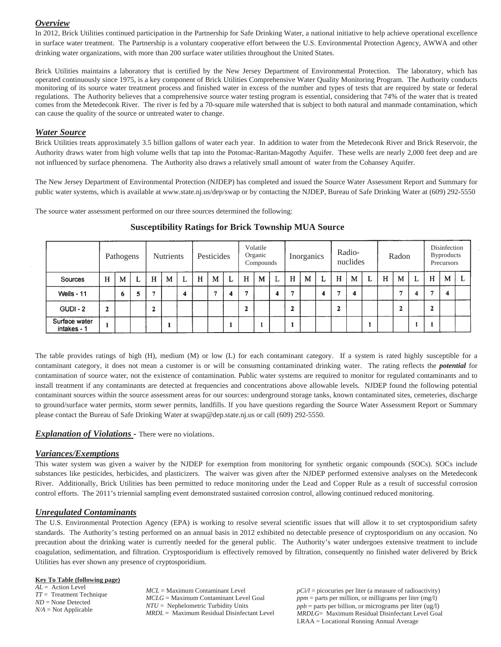## *Overview*

In 2012, Brick Utilities continued participation in the Partnership for Safe Drinking Water, a national initiative to help achieve operational excellence in surface water treatment. The Partnership is a voluntary cooperative effort between the U.S. Environmental Protection Agency, AWWA and other drinking water organizations, with more than 200 surface water utilities throughout the United States.

Brick Utilities maintains a laboratory that is certified by the New Jersey Department of Environmental Protection. The laboratory, which has operated continuously since 1975, is a key component of Brick Utilities Comprehensive Water Quality Monitoring Program. The Authority conducts monitoring of its source water treatment process and finished water in excess of the number and types of tests that are required by state or federal regulations. The Authority believes that a comprehensive source water testing program is essential, considering that 74% of the water that is treated comes from the Metedeconk River. The river is fed by a 70-square mile watershed that is subject to both natural and manmade contamination, which can cause the quality of the source or untreated water to change.

#### *Water Source*

Brick Utilities treats approximately 3.5 billion gallons of water each year. In addition to water from the Metedeconk River and Brick Reservoir, the Authority draws water from high volume wells that tap into the Potomac-Raritan-Magothy Aquifer. These wells are nearly 2,000 feet deep and are not influenced by surface phenomena. The Authority also draws a relatively small amount of water from the Cohansey Aquifer.

The New Jersey Department of Environmental Protection (NJDEP) has completed and issued the Source Water Assessment Report and Summary for public water systems, which is available at www.state.nj.us/dep/swap or by contacting the NJDEP, Bureau of Safe Drinking Water at (609) 292-5550

The source water assessment performed on our three sources determined the following:

|                              |              | Pathogens |   |   | <b>Nutrients</b> |   |   | Pesticides |   |   | Volatile<br>Organic<br>Compounds |   |   | Inorganics |   |   | Radio-<br>nuclides |   |   | Radon |   |   | Disinfection<br><b>Byproducts</b><br>Precursors |  |
|------------------------------|--------------|-----------|---|---|------------------|---|---|------------|---|---|----------------------------------|---|---|------------|---|---|--------------------|---|---|-------|---|---|-------------------------------------------------|--|
| Sources                      | H            | M         | L | H | M                | L | H | M          | L | H | M                                | L | H | M          | ⊾ | H | M                  | L | H | M     | ┻ | H | M                                               |  |
| Wells - 11                   |              | 6         | ວ |   |                  | 4 |   | m          |   |   |                                  | 4 | 与 |            | 4 | е | 4                  |   |   | £,    |   | × | 4                                               |  |
| <b>GUDI - 2</b>              | $\mathbf{z}$ |           |   |   |                  |   |   |            |   | ٠ |                                  |   | ∍ |            |   | 2 |                    |   |   | 2     |   | ٠ |                                                 |  |
| Surface water<br>intakes - 1 |              |           |   |   |                  |   |   |            |   |   |                                  |   |   |            |   |   |                    |   |   |       |   |   |                                                 |  |

# **Susceptibility Ratings for Brick Township MUA Source**

The table provides ratings of high (H), medium (M) or low (L) for each contaminant category. If a system is rated highly susceptible for a contaminant category, it does not mean a customer is or will be consuming contaminated drinking water. The rating reflects the *potential* for contamination of source water, not the existence of contamination. Public water systems are required to monitor for regulated contaminants and to install treatment if any contaminants are detected at frequencies and concentrations above allowable levels. NJDEP found the following potential contaminant sources within the source assessment areas for our sources: underground storage tanks, known contaminated sites, cemeteries, discharge to ground/surface water permits, storm sewer permits, landfills. If you have questions regarding the Source Water Assessment Report or Summary please contact the Bureau of Safe Drinking Water at swap@dep.state.nj.us or call (609) 292-5550.

### *Explanation of Violations* - There were no violations.

### *Variances/Exemptions*

This water system was given a waiver by the NJDEP for exemption from monitoring for synthetic organic compounds (SOCs). SOCs include substances like pesticides, herbicides, and plasticizers. The waiver was given after the NJDEP performed extensive analyses on the Metedeconk River. Additionally, Brick Utilities has been permitted to reduce monitoring under the Lead and Copper Rule as a result of successful corrosion control efforts. The 2011's triennial sampling event demonstrated sustained corrosion control, allowing continued reduced monitoring.

### *Unregulated Contaminants*

The U.S. Environmental Protection Agency (EPA) is working to resolve several scientific issues that will allow it to set cryptosporidium safety standards. The Authority's testing performed on an annual basis in 2012 exhibited no detectable presence of cryptosporidium on any occasion. No precaution about the drinking water is currently needed for the general public. The Authority's water undergoes extensive treatment to include coagulation, sedimentation, and filtration. Cryptosporidium is effectively removed by filtration, consequently no finished water delivered by Brick Utilities has ever shown any presence of cryptosporidium.

#### **Key To Table (following page)**

*AL* = Action Level *TT* = Treatment Technique *ND* = None Detected *N/A* = Not Applicable

*MCL* = Maximum Contaminant Level *MCLG* = Maximum Contaminant Level Goal *NTU* = Nephelometric Turbidity Units *MRDL* = Maximum Residual Disinfectant Level  $pCi/l =$  picocuries per liter (a measure of radioactivity) *ppm* = parts per million, or milligrams per liter (mg/l) *ppb* = parts per billion, or micrograms per liter (ug/l) *MRDLG*= Maximum Residual Disinfectant Level Goal LRAA = Locational Running Annual Average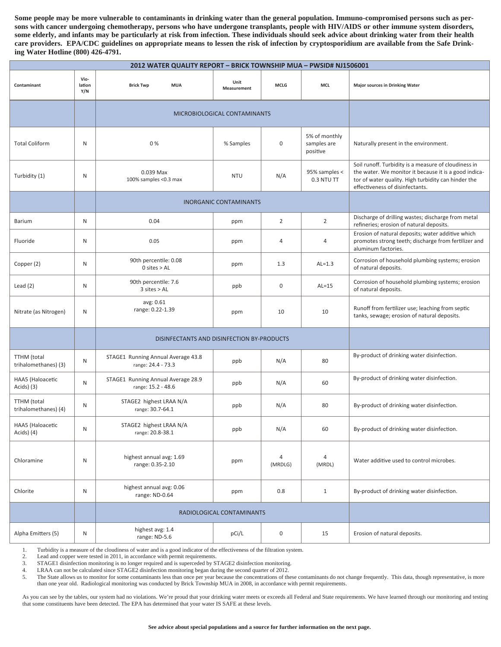**Some people may be more vulnerable to contaminants in drinking water than the general population. Immuno-compromised persons such as persons with cancer undergoing chemotherapy, persons who have undergone transplants, people with HIV/AIDS or other immune system disorders, some elderly, and infants may be particularly at risk from infection. These individuals should seek advice about drinking water from their health care providers. EPA/CDC guidelines on appropriate means to lessen the risk of infection by cryptosporidium are available from the Safe Drinking Water Hotline (800) 426-4791.** 

| 2012 WATER QUALITY REPORT - BRICK TOWNSHIP MUA - PWSID# NJ1506001 |                       |                                                          |                     |                           |                                          |                                                                                                                                                                                                         |  |  |  |  |
|-------------------------------------------------------------------|-----------------------|----------------------------------------------------------|---------------------|---------------------------|------------------------------------------|---------------------------------------------------------------------------------------------------------------------------------------------------------------------------------------------------------|--|--|--|--|
| Contaminant                                                       | Vio-<br>lation<br>Y/N | <b>Brick Twp</b><br><b>MUA</b>                           | Unit<br>Measurement | <b>MCLG</b>               | MCL                                      | <b>Major sources in Drinking Water</b>                                                                                                                                                                  |  |  |  |  |
|                                                                   |                       | MICROBIOLOGICAL CONTAMINANTS                             |                     |                           |                                          |                                                                                                                                                                                                         |  |  |  |  |
| <b>Total Coliform</b>                                             | N                     | 0%                                                       | % Samples           | $\mathbf 0$               | 5% of monthly<br>samples are<br>positive | Naturally present in the environment.                                                                                                                                                                   |  |  |  |  |
| Turbidity (1)                                                     | N                     | 0.039 Max<br>100% samples <0.3 max                       | <b>NTU</b>          | N/A                       | 95% samples <<br>0.3 NTU TT              | Soil runoff. Turbidity is a measure of cloudiness in<br>the water. We monitor it because it is a good indica-<br>tor of water quality. High turbidity can hinder the<br>effectiveness of disinfectants. |  |  |  |  |
|                                                                   |                       | <b>INORGANIC CONTAMINANTS</b>                            |                     |                           |                                          |                                                                                                                                                                                                         |  |  |  |  |
| Barium                                                            | N                     | 0.04                                                     | ppm                 | $\overline{2}$            | $\overline{2}$                           | Discharge of drilling wastes; discharge from metal<br>refineries; erosion of natural deposits.                                                                                                          |  |  |  |  |
| Fluoride                                                          | N                     | 0.05                                                     | ppm                 | $\overline{4}$            | 4                                        | Erosion of natural deposits; water additive which<br>promotes strong teeth; discharge from fertilizer and<br>aluminum factories.                                                                        |  |  |  |  |
| Copper (2)                                                        | N                     | 90th percentile: 0.08<br>$0$ sites $>$ AL                | ppm                 | 1.3                       | $AL=1.3$                                 | Corrosion of household plumbing systems; erosion<br>of natural deposits.                                                                                                                                |  |  |  |  |
| Lead $(2)$                                                        | N                     | 90th percentile: 7.6<br>$3$ sites $>AL$                  | ppb                 | 0                         | $AL=15$                                  | Corrosion of household plumbing systems; erosion<br>of natural deposits.                                                                                                                                |  |  |  |  |
| Nitrate (as Nitrogen)                                             | N                     | avg: 0.61<br>range: 0.22-1.39                            | ppm                 | 10                        | 10                                       | Runoff from fertilizer use; leaching from septic<br>tanks, sewage; erosion of natural deposits.                                                                                                         |  |  |  |  |
|                                                                   |                       | DISINFECTANTS AND DISINFECTION BY-PRODUCTS               |                     |                           |                                          |                                                                                                                                                                                                         |  |  |  |  |
| TTHM (total<br>trihalomethanes) (3)                               | N                     | STAGE1 Running Annual Average 43.8<br>range: 24.4 - 73.3 | ppb                 | N/A                       | 80                                       | By-product of drinking water disinfection.                                                                                                                                                              |  |  |  |  |
| HAA5 (Haloacetic<br>Acids) (3)                                    | N                     | STAGE1 Running Annual Average 28.9<br>range: 15.2 - 48.6 | ppb                 | N/A                       | 60                                       | By-product of drinking water disinfection.                                                                                                                                                              |  |  |  |  |
| TTHM (total<br>trihalomethanes) (4)                               | N                     | STAGE2 highest LRAA N/A<br>range: 30.7-64.1              | ppb                 | N/A                       | 80                                       | By-product of drinking water disinfection.                                                                                                                                                              |  |  |  |  |
| HAA5 (Haloacetic<br>Acids) (4)                                    | N                     | STAGE2 highest LRAA N/A<br>range: 20.8-38.1              | ppb                 | N/A                       | 60                                       | By-product of drinking water disinfection.                                                                                                                                                              |  |  |  |  |
| Chloramine                                                        | N                     | highest annual avg: 1.69<br>range: 0.35-2.10             | ppm                 | $\overline{4}$<br>(MRDLG) | $\overline{4}$<br>(MRDL)                 | Water additive used to control microbes.                                                                                                                                                                |  |  |  |  |
| Chlorite                                                          | ${\sf N}$             | highest annual avg: 0.06<br>range: ND-0.64               | ppm                 | 0.8                       | $\mathbf{1}$                             | By-product of drinking water disinfection.                                                                                                                                                              |  |  |  |  |
|                                                                   |                       | RADIOLOGICAL CONTAMINANTS                                |                     |                           |                                          |                                                                                                                                                                                                         |  |  |  |  |
| Alpha Emitters (5)                                                | N                     | highest avg: 1.4<br>range: ND-5.6                        | pCi/L               | $\pmb{0}$                 | 15                                       | Erosion of natural deposits.                                                                                                                                                                            |  |  |  |  |

1. Turbidity is a measure of the cloudiness of water and is a good indicator of the effectiveness of the filtration system.

2. Lead and copper were tested in 2011, in accordance with permit requirements.

3. STAGE1 disinfection monitoring is no longer required and is superceded by STAGE2 disinfection monitoring.

4. LRAA can not be calculated since STAGE2 disinfection monitoring began during the second quarter of 2012.

5. The State allows us to monitor for some contaminants less than once per year because the concentrations of these contaminants do not change frequently. This data, though representative, is more than one year old. Radiological monitoring was conducted by Brick Township MUA in 2008, in accordance with permit requirements.

As you can see by the tables, our system had no violations. We're proud that your drinking water meets or exceeds all Federal and State requirements. We have learned through our monitoring and testing that some constituents have been detected. The EPA has determined that your water IS SAFE at these levels.